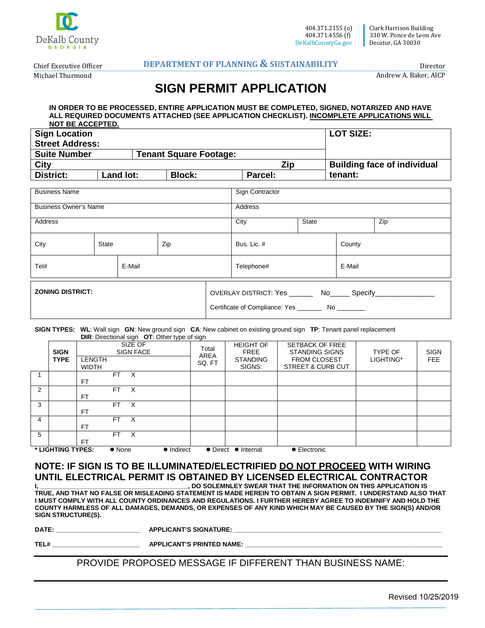

Clark Harrison Building 330 W. Ponce de Leon Ave Decatur, GA 30030

Chief Executive Officer Michael Thurmond

#### **DEPARTMENT OF PLANNING & SUSTAINABILITY**

Director Andrew A. Baker, AICP

# **SIGN PERMIT APPLICATION**

#### **IN ORDER TO BE PROCESSED, ENTIRE APPLICATION MUST BE COMPLETED, SIGNED, NOTARIZED AND HAVE ALL REQUIRED DOCUMENTS ATTACHED (SEE APPLICATION CHECKLIST). INCOMPLETE APPLICATIONS WILL NOT BE ACCEPTED.**

| <b>Sign Location</b>   |           |                               |               |                 | <b>LOT SIZE:</b>                   |
|------------------------|-----------|-------------------------------|---------------|-----------------|------------------------------------|
| <b>Street Address:</b> |           |                               |               |                 |                                    |
| <b>Suite Number</b>    |           | <b>Tenant Square Footage:</b> |               |                 |                                    |
| City                   |           |                               |               | Zip             | <b>Building face of individual</b> |
| <b>District:</b>       | Land lot: |                               | <b>Block:</b> | Parcel:         | tenant:                            |
|                        |           |                               |               |                 |                                    |
| <b>Business Name</b>   |           |                               |               | Sign Contractor |                                    |

| <b>DUSTICSS INCITIC</b>      |              |  |                                                            | <b>Ulyn Contractor</b> |        |  |     |
|------------------------------|--------------|--|------------------------------------------------------------|------------------------|--------|--|-----|
| <b>Business Owner's Name</b> |              |  |                                                            | Address                |        |  |     |
| Address                      |              |  |                                                            | City                   | State  |  | Zip |
| City                         | State<br>Zip |  | Bus. Lic. #                                                |                        | County |  |     |
| Tel#<br>E-Mail               |              |  | E-Mail<br>Telephone#                                       |                        |        |  |     |
| <b>ZONING DISTRICT:</b>      |              |  | OVERLAY DISTRICT: Yes _________ No______ Specify__________ |                        |        |  |     |

#### **SIGN TYPES: WL**: Wall sign **GN**: New ground sign **CA**: New cabinet on existing ground sign **TP**: Tenant panel replacement  **DIR**: Directional sign **OT**: Other type of sign

|                |                            | $\blacksquare$                                               |                                |                                                              |                                                                                                        |                      |                           |
|----------------|----------------------------|--------------------------------------------------------------|--------------------------------|--------------------------------------------------------------|--------------------------------------------------------------------------------------------------------|----------------------|---------------------------|
|                | <b>SIGN</b><br><b>TYPE</b> | SIZE OF<br><b>SIGN FACE</b><br><b>LENGTH</b><br><b>WIDTH</b> | Total<br><b>AREA</b><br>SQ. FT | <b>HEIGHT OF</b><br><b>FREE</b><br><b>STANDING</b><br>SIGNS: | <b>SETBACK OF FREE</b><br><b>STANDING SIGNS</b><br><b>FROM CLOSEST</b><br><b>STREET &amp; CURB CUT</b> | TYPE OF<br>LIGHTING* | <b>SIGN</b><br><b>FEE</b> |
|                |                            | FT.<br>- X<br><b>FT</b>                                      |                                |                                                              |                                                                                                        |                      |                           |
| $\overline{2}$ |                            | FT<br>- X<br><b>FT</b>                                       |                                |                                                              |                                                                                                        |                      |                           |
| 3              |                            | FT.<br>$\mathsf{X}$<br><b>FT</b>                             |                                |                                                              |                                                                                                        |                      |                           |
| 4              |                            | FT<br>$\mathsf{X}$<br><b>FT</b>                              |                                |                                                              |                                                                                                        |                      |                           |
| 5              |                            | FT.<br>$\mathsf{X}$<br><b>FT</b>                             |                                |                                                              |                                                                                                        |                      |                           |
|                | * LIGHTING TYPES:          | • Indirect<br>$\bullet$ None                                 |                                | • Direct • Internal                                          | • Electronic                                                                                           |                      |                           |

## **NOTE: IF SIGN IS TO BE ILLUMINATED/ELECTRIFIED DO NOT PROCEED WITH WIRING UNTIL ELECTRICAL PERMIT IS OBTAINED BY LICENSED ELECTRICAL CONTRACTOR**

. DO SOLEMNLEY SWEAR THAT THE INFORMATION ON THIS APPLICATION IS **TRUE, AND THAT NO FALSE OR MISLEADING STATEMENT IS MADE HEREIN TO OBTAIN A SIGN PERMIT. I UNDERSTAND ALSO THAT I MUST COMPLY WITH ALL COUNTY ORDINANCES AND REGULATIONS. I FURTHER HEREBY AGREE TO INDEMNIFY AND HOLD THE COUNTY HARMLESS OF ALL DAMAGES, DEMANDS, OR EXPENSES OF ANY KIND WHICH MAY BE CAUSED BY THE SIGN(S) AND/OR SIGN STRUCTURE(S).**

**DATE: \_\_\_\_\_\_\_\_\_\_\_\_\_\_\_\_\_\_\_\_\_\_\_\_ APPLICANT'S SIGNATURE: \_\_\_\_\_\_\_\_\_\_\_\_\_\_\_\_\_\_\_\_\_\_\_\_\_\_\_\_\_\_\_\_\_\_\_\_\_\_\_\_\_\_\_\_\_\_\_\_\_\_\_\_\_\_\_\_\_\_\_**

**TEL# \_\_\_\_\_\_\_\_\_\_\_\_\_\_\_\_\_\_\_\_\_\_\_\_\_ APPLICANT'S PRINTED NAME: \_\_\_\_\_\_\_\_\_\_\_\_\_\_\_\_\_\_\_\_\_\_\_\_\_\_\_\_\_\_\_\_\_\_\_\_\_\_\_\_\_\_\_\_\_\_\_\_\_\_\_\_\_\_\_\_**

PROVIDE PROPOSED MESSAGE IF DIFFERENT THAN BUSINESS NAME: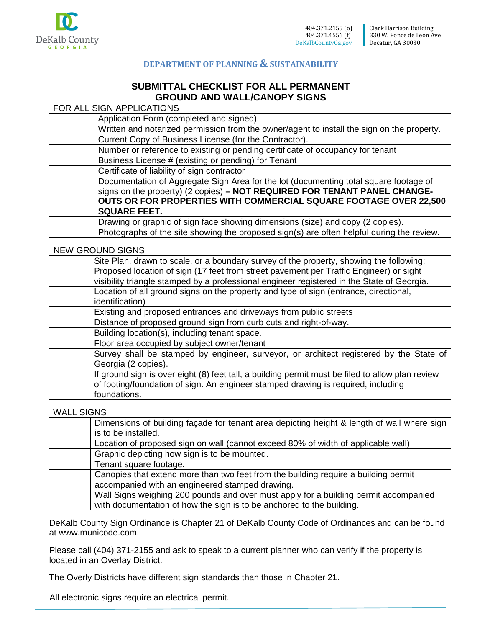

#### **SUBMITTAL CHECKLIST FOR ALL PERMANENT GROUND AND WALL/CANOPY SIGNS**

| FOR ALL SIGN APPLICATIONS                                                                  |
|--------------------------------------------------------------------------------------------|
| Application Form (completed and signed).                                                   |
| Written and notarized permission from the owner/agent to install the sign on the property. |
| Current Copy of Business License (for the Contractor).                                     |
| Number or reference to existing or pending certificate of occupancy for tenant             |
| Business License # (existing or pending) for Tenant                                        |
| Certificate of liability of sign contractor                                                |
| Documentation of Aggregate Sign Area for the lot (documenting total square footage of      |
| signs on the property) $(2 \text{ copies}) - NOT REQUIRED FOR TENANT PANEL CHANGE-$        |
| OUTS OR FOR PROPERTIES WITH COMMERCIAL SQUARE FOOTAGE OVER 22,500                          |
| <b>SQUARE FEET.</b>                                                                        |
| Drawing or graphic of sign face showing dimensions (size) and copy (2 copies).             |
| Photographs of the site showing the proposed sign(s) are often helpful during the review.  |

| <b>NEW GROUND SIGNS</b>                                                                          |
|--------------------------------------------------------------------------------------------------|
| Site Plan, drawn to scale, or a boundary survey of the property, showing the following:          |
| Proposed location of sign (17 feet from street pavement per Traffic Engineer) or sight           |
| visibility triangle stamped by a professional engineer registered in the State of Georgia.       |
| Location of all ground signs on the property and type of sign (entrance, directional,            |
| identification)                                                                                  |
| Existing and proposed entrances and driveways from public streets                                |
| Distance of proposed ground sign from curb cuts and right-of-way.                                |
| Building location(s), including tenant space.                                                    |
| Floor area occupied by subject owner/tenant                                                      |
| Survey shall be stamped by engineer, surveyor, or architect registered by the State of           |
| Georgia (2 copies).                                                                              |
| If ground sign is over eight (8) feet tall, a building permit must be filed to allow plan review |
| of footing/foundation of sign. An engineer stamped drawing is required, including                |
| foundations.                                                                                     |

#### WALL SIGNS Dimensions of building façade for tenant area depicting height & length of wall where sign is to be installed. Location of proposed sign on wall (cannot exceed 80% of width of applicable wall) Graphic depicting how sign is to be mounted. Tenant square footage. Canopies that extend more than two feet from the building require a building permit accompanied with an engineered stamped drawing. Wall Signs weighing 200 pounds and over must apply for a building permit accompanied with documentation of how the sign is to be anchored to the building.

DeKalb County Sign Ordinance is Chapter 21 of DeKalb County Code of Ordinances and can be found at www.municode.com.

Please call (404) 371-2155 and ask to speak to a current planner who can verify if the property is located in an Overlay District.

The Overly Districts have different sign standards than those in Chapter 21.

All electronic signs require an electrical permit.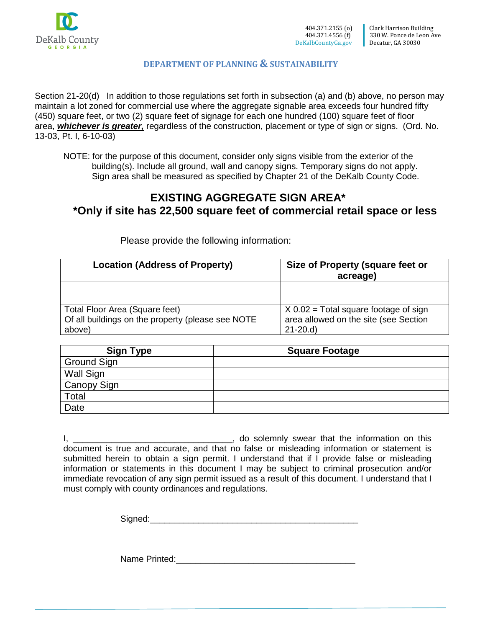

Section 21-20(d) In addition to those regulations set forth in subsection (a) and (b) above, no person may maintain a lot zoned for commercial use where the aggregate signable area exceeds four hundred fifty (450) square feet, or two (2) square feet of signage for each one hundred (100) square feet of floor area, *whichever is greater,* regardless of the construction, placement or type of sign or signs. (Ord. No. 13-03, Pt. I, 6-10-03)

NOTE: for the purpose of this document, consider only signs visible from the exterior of the building(s). Include all ground, wall and canopy signs. Temporary signs do not apply. Sign area shall be measured as specified by Chapter 21 of the DeKalb County Code.

## **EXISTING AGGREGATE SIGN AREA\* \*Only if site has 22,500 square feet of commercial retail space or less**

| <b>Location (Address of Property)</b>                                               | Size of Property (square feet or<br>acreage)                                     |
|-------------------------------------------------------------------------------------|----------------------------------------------------------------------------------|
|                                                                                     |                                                                                  |
| Total Floor Area (Square feet)<br>Of all buildings on the property (please see NOTE | $X$ 0.02 = Total square footage of sign<br>area allowed on the site (see Section |
| above)                                                                              | $21-20.d$                                                                        |

Please provide the following information:

| <b>Sign Type</b> | <b>Square Footage</b> |
|------------------|-----------------------|
| Ground Sign      |                       |
| Wall Sign        |                       |
| Canopy Sign      |                       |
| Total            |                       |
| Date             |                       |

I, \_\_\_\_\_\_\_\_\_\_\_\_\_\_\_\_\_\_\_\_\_\_\_\_\_\_\_\_\_\_\_\_\_, do solemnly swear that the information on this document is true and accurate, and that no false or misleading information or statement is submitted herein to obtain a sign permit. I understand that if I provide false or misleading information or statements in this document I may be subject to criminal prosecution and/or immediate revocation of any sign permit issued as a result of this document. I understand that I must comply with county ordinances and regulations.

Signed:

Name Printed: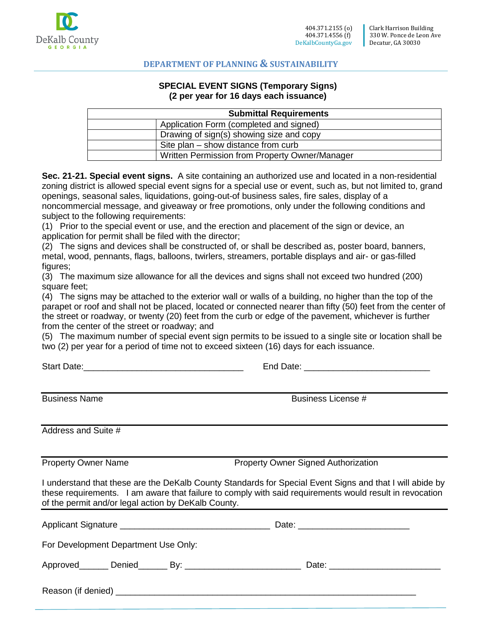

#### **SPECIAL EVENT SIGNS (Temporary Signs) (2 per year for 16 days each issuance)**

| <b>Submittal Requirements</b> |                                                |  |  |  |
|-------------------------------|------------------------------------------------|--|--|--|
|                               | Application Form (completed and signed)        |  |  |  |
|                               | Drawing of sign(s) showing size and copy       |  |  |  |
|                               | Site plan – show distance from curb            |  |  |  |
|                               | Written Permission from Property Owner/Manager |  |  |  |

**Sec. 21-21. Special event signs.** A site containing an authorized use and located in a non-residential zoning district is allowed special event signs for a special use or event, such as, but not limited to, grand openings, seasonal sales, liquidations, going-out-of business sales, fire sales, display of a noncommercial message, and giveaway or free promotions, only under the following conditions and subject to the following requirements:

(1) Prior to the special event or use, and the erection and placement of the sign or device, an application for permit shall be filed with the director;

(2) The signs and devices shall be constructed of, or shall be described as, poster board, banners, metal, wood, pennants, flags, balloons, twirlers, streamers, portable displays and air- or gas-filled figures;

(3) The maximum size allowance for all the devices and signs shall not exceed two hundred (200) square feet;

(4) The signs may be attached to the exterior wall or walls of a building, no higher than the top of the parapet or roof and shall not be placed, located or connected nearer than fifty (50) feet from the center of the street or roadway, or twenty (20) feet from the curb or edge of the pavement, whichever is further from the center of the street or roadway; and

(5) The maximum number of special event sign permits to be issued to a single site or location shall be two (2) per year for a period of time not to exceed sixteen (16) days for each issuance.

Start Date: etc. And Date: the Start Date:  $\blacksquare$ 

Business Name Business License #

Address and Suite #

Property Owner Name **Property Owner Signed Authorization** 

I understand that these are the DeKalb County Standards for Special Event Signs and that I will abide by these requirements. I am aware that failure to comply with said requirements would result in revocation of the permit and/or legal action by DeKalb County.

| For Development Department Use Only: |                                |  |  |  |
|--------------------------------------|--------------------------------|--|--|--|
| Approved Denied By:                  | Date: <u>_________________</u> |  |  |  |
|                                      |                                |  |  |  |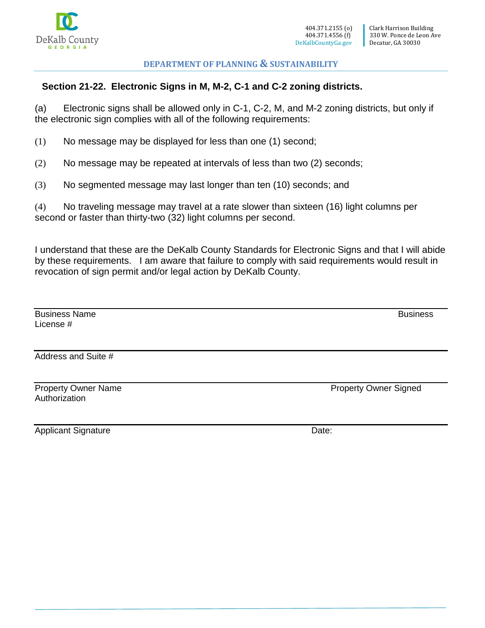

## **Section 21-22. Electronic Signs in M, M-2, C-1 and C-2 zoning districts.**

(a) Electronic signs shall be allowed only in C-1, C-2, M, and M-2 zoning districts, but only if the electronic sign complies with all of the following requirements:

(1) No message may be displayed for less than one (1) second;

- (2) No message may be repeated at intervals of less than two (2) seconds;
- (3) No segmented message may last longer than ten (10) seconds; and

(4) No traveling message may travel at a rate slower than sixteen (16) light columns per second or faster than thirty-two (32) light columns per second.

I understand that these are the DeKalb County Standards for Electronic Signs and that I will abide by these requirements. I am aware that failure to comply with said requirements would result in revocation of sign permit and/or legal action by DeKalb County.

| <b>Business Name</b><br>License # | <b>Business</b> |
|-----------------------------------|-----------------|
|                                   |                 |
| Address and Suite #               |                 |
|                                   |                 |

Property Owner Name **Property Owner Signed** Authorization

Applicant Signature Date: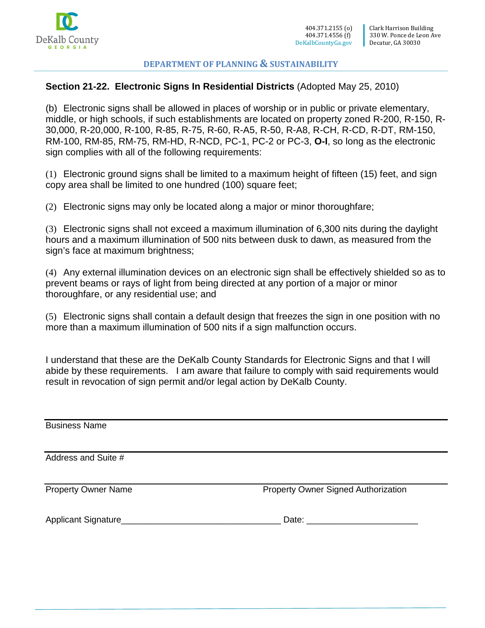

## **Section 21-22. Electronic Signs In Residential Districts** (Adopted May 25, 2010)

(b) Electronic signs shall be allowed in places of worship or in public or private elementary, middle, or high schools, if such establishments are located on property zoned R-200, R-150, R-30,000, R-20,000, R-100, R-85, R-75, R-60, R-A5, R-50, R-A8, R-CH, R-CD, R-DT, RM-150, RM-100, RM-85, RM-75, RM-HD, R-NCD, PC-1, PC-2 or PC-3, **O-I**, so long as the electronic sign complies with all of the following requirements:

(1) Electronic ground signs shall be limited to a maximum height of fifteen (15) feet, and sign copy area shall be limited to one hundred (100) square feet;

(2) Electronic signs may only be located along a major or minor thoroughfare;

(3) Electronic signs shall not exceed a maximum illumination of 6,300 nits during the daylight hours and a maximum illumination of 500 nits between dusk to dawn, as measured from the sign's face at maximum brightness;

(4) Any external illumination devices on an electronic sign shall be effectively shielded so as to prevent beams or rays of light from being directed at any portion of a major or minor thoroughfare, or any residential use; and

(5) Electronic signs shall contain a default design that freezes the sign in one position with no more than a maximum illumination of 500 nits if a sign malfunction occurs.

I understand that these are the DeKalb County Standards for Electronic Signs and that I will abide by these requirements. I am aware that failure to comply with said requirements would result in revocation of sign permit and/or legal action by DeKalb County.

| <b>Business Name</b>       |                                            |
|----------------------------|--------------------------------------------|
| Address and Suite #        |                                            |
| <b>Property Owner Name</b> | <b>Property Owner Signed Authorization</b> |
|                            |                                            |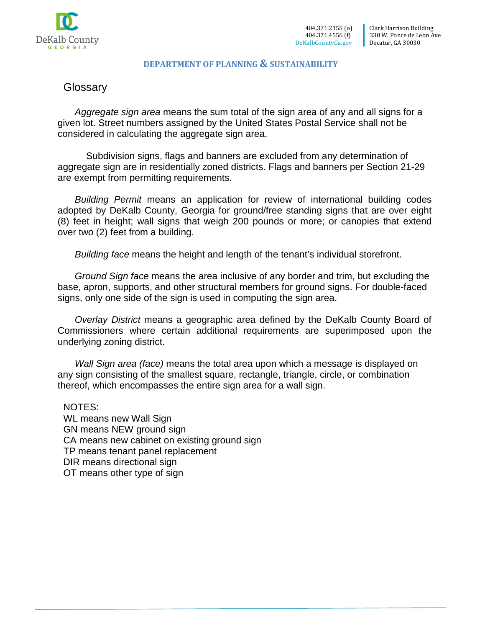

## **Glossarv**

*Aggregate sign area* means the sum total of the sign area of any and all signs for a given lot. Street numbers assigned by the United States Postal Service shall not be considered in calculating the aggregate sign area.

Subdivision signs, flags and banners are excluded from any determination of aggregate sign are in residentially zoned districts. Flags and banners per Section 21-29 are exempt from permitting requirements.

*Building Permit* means an application for review of international building codes adopted by DeKalb County, Georgia for ground/free standing signs that are over eight (8) feet in height; wall signs that weigh 200 pounds or more; or canopies that extend over two (2) feet from a building.

*Building face* means the height and length of the tenant's individual storefront.

*Ground Sign face* means the area inclusive of any border and trim, but excluding the base, apron, supports, and other structural members for ground signs. For double-faced signs, only one side of the sign is used in computing the sign area.

*Overlay District* means a geographic area defined by the DeKalb County Board of Commissioners where certain additional requirements are superimposed upon the underlying zoning district.

*Wall Sign area (face)* means the total area upon which a message is displayed on any sign consisting of the smallest square, rectangle, triangle, circle, or combination thereof, which encompasses the entire sign area for a wall sign.

NOTES: WL means new Wall Sign GN means NEW ground sign CA means new cabinet on existing ground sign TP means tenant panel replacement DIR means directional sign OT means other type of sign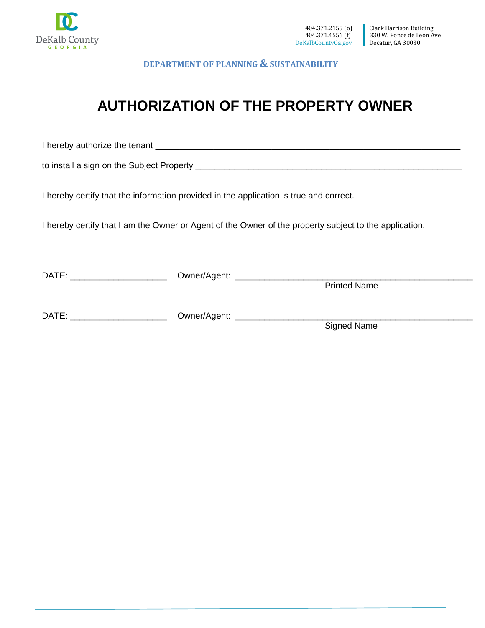

# **AUTHORIZATION OF THE PROPERTY OWNER**

I hereby authorize the tenant **example in the set of the set of the set of the set of the set of the set of the s** 

to install a sign on the Subject Property \_\_\_\_\_\_\_\_\_\_\_\_\_\_\_\_\_\_\_\_\_\_\_\_\_\_\_\_\_\_\_\_\_\_\_\_\_\_\_\_\_\_\_\_\_\_\_\_\_\_\_\_\_\_\_

I hereby certify that the information provided in the application is true and correct.

I hereby certify that I am the Owner or Agent of the Owner of the property subject to the application.

| DATE: | Owner/Agent: |                     |  |  |
|-------|--------------|---------------------|--|--|
|       |              | <b>Printed Name</b> |  |  |
| DATE: | Owner/Agent: |                     |  |  |
|       |              | Signed Name         |  |  |